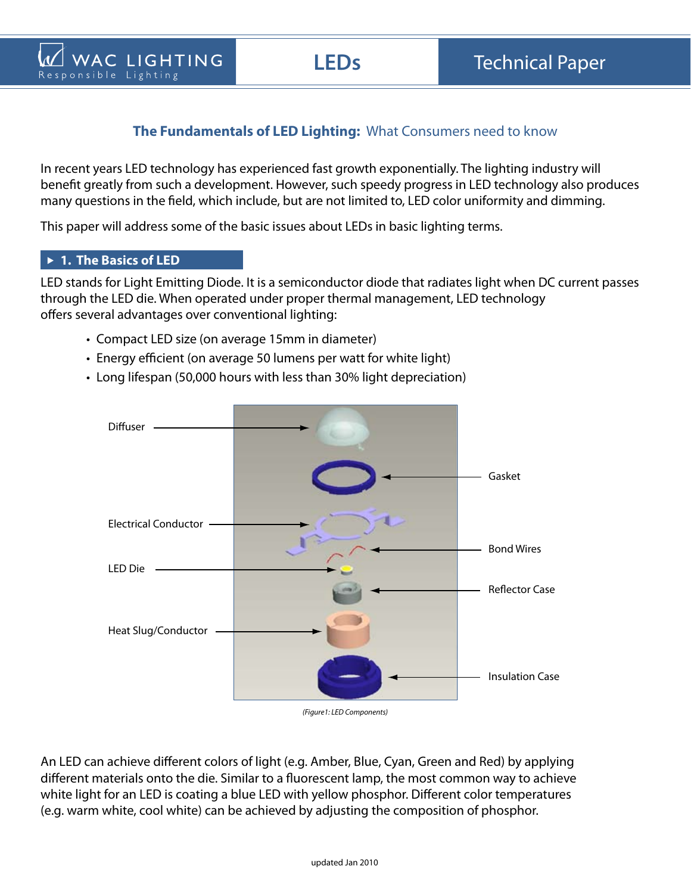## **The Fundamentals of LED Lighting:** What Consumers need to know

In recent years LED technology has experienced fast growth exponentially. The lighting industry will benefit greatly from such a development. However, such speedy progress in LED technology also produces many questions in the field, which include, but are not limited to, LED color uniformity and dimming.

This paper will address some of the basic issues about LEDs in basic lighting terms.

#### **► 1. The Basics of LED**

W WAC LIGHTING

Responsible Lighting

LED stands for Light Emitting Diode. It is a semiconductor diode that radiates light when DC current passes through the LED die. When operated under proper thermal management, LED technology offers several advantages over conventional lighting:

- Compact LED size (on average 15mm in diameter)
- Energy efficient (on average 50 lumens per watt for white light)
- Long lifespan (50,000 hours with less than 30% light depreciation)



An LED can achieve different colors of light (e.g. Amber, Blue, Cyan, Green and Red) by applying different materials onto the die. Similar to a fluorescent lamp, the most common way to achieve white light for an LED is coating a blue LED with yellow phosphor. Different color temperatures (e.g. warm white, cool white) can be achieved by adjusting the composition of phosphor.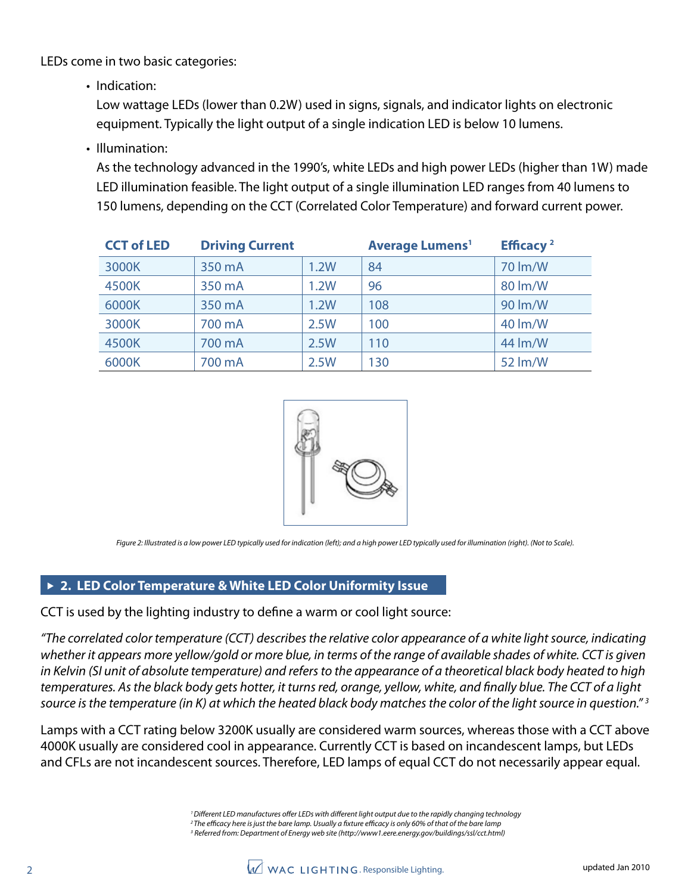LEDs come in two basic categories:

• Indication:

Low wattage LEDs (lower than 0.2W) used in signs, signals, and indicator lights on electronic equipment. Typically the light output of a single indication LED is below 10 lumens.

• Illumination:

As the technology advanced in the 1990's, white LEDs and high power LEDs (higher than 1W) made LED illumination feasible. The light output of a single illumination LED ranges from 40 lumens to 150 lumens, depending on the CCT (Correlated Color Temperature) and forward current power.

| <b>CCT of LED</b> | <b>Driving Current</b> |      | <b>Average Lumens<sup>1</sup></b> | Efficacy <sup>2</sup> |
|-------------------|------------------------|------|-----------------------------------|-----------------------|
| 3000K             | 350 mA                 | 1.2W | 84                                | 70 lm/W               |
| 4500K             | 350 mA                 | 1.2W | 96                                | 80 lm/W               |
| 6000K             | 350 mA                 | 1.2W | 108                               | 90 lm/W               |
| 3000K             | 700 mA                 | 2.5W | 100                               | 40 lm/W               |
| 4500K             | 700 mA                 | 2.5W | 110                               | 44 lm/W               |
| 6000K             | 700 mA                 | 2.5W | 130                               | 52 lm/W               |



*Figure 2: Illustrated is a low power LED typically used for indication (left); and a high power LED typically used for illumination (right). (Not to Scale).*

### **▶ 2. LED Color Temperature & White LED Color Uniformity Issue**

CCT is used by the lighting industry to define a warm or cool light source:

*"The correlated color temperature (CCT) describes the relative color appearance of a white light source, indicating*  whether it appears more yellow/gold or more blue, in terms of the range of available shades of white. CCT is given *in Kelvin (SI unit of absolute temperature) and refers to the appearance of a theoretical black body heated to high temperatures. As the black body gets hotter, it turns red, orange, yellow, white, and finally blue. The CCT of a light source is the temperature (in K) at which the heated black body matches the color of the light source in question." 3*

Lamps with a CCT rating below 3200K usually are considered warm sources, whereas those with a CCT above 4000K usually are considered cool in appearance. Currently CCT is based on incandescent lamps, but LEDs and CFLs are not incandescent sources. Therefore, LED lamps of equal CCT do not necessarily appear equal.

> *1 Different LED manufactures offer LEDs with different light output due to the rapidly changing technology 2 The efficacy here is just the bare lamp. Usually a fixture efficacy is only 60% of that of the bare lamp*

*3 Referred from: Department of Energy web site (http://www1.eere.energy.gov/buildings/ssl/cct.html)*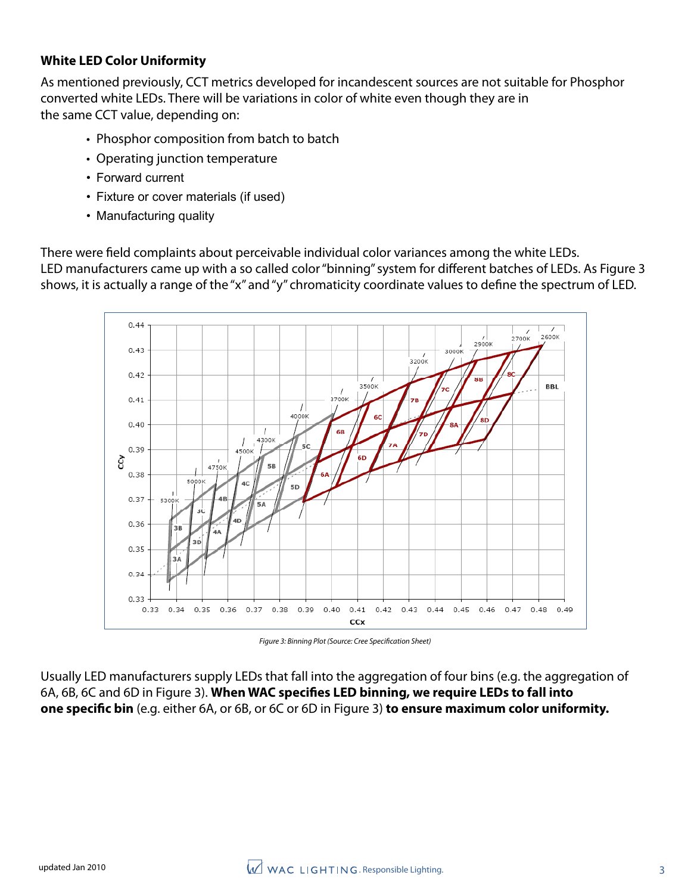### **White LED Color Uniformity**

As mentioned previously, CCT metrics developed for incandescent sources are not suitable for Phosphor converted white LEDs. There will be variations in color of white even though they are in the same CCT value, depending on:

- Phosphor composition from batch to batch
- Operating junction temperature
- Forward current
- Fixture or cover materials (if used)
- Manufacturing quality

There were field complaints about perceivable individual color variances among the white LEDs. LED manufacturers came up with a so called color "binning" system for different batches of LEDs. As Figure 3 shows, it is actually a range of the "x" and "y" chromaticity coordinate values to define the spectrum of LED.



*Figure 3: Binning Plot (Source: Cree Specification Sheet)*

Usually LED manufacturers supply LEDs that fall into the aggregation of four bins (e.g. the aggregation of 6A, 6B, 6C and 6D in Figure 3). **When WAC specifies LED binning, we require LEDs to fall into one specific bin** (e.g. either 6A, or 6B, or 6C or 6D in Figure 3) **to ensure maximum color uniformity.**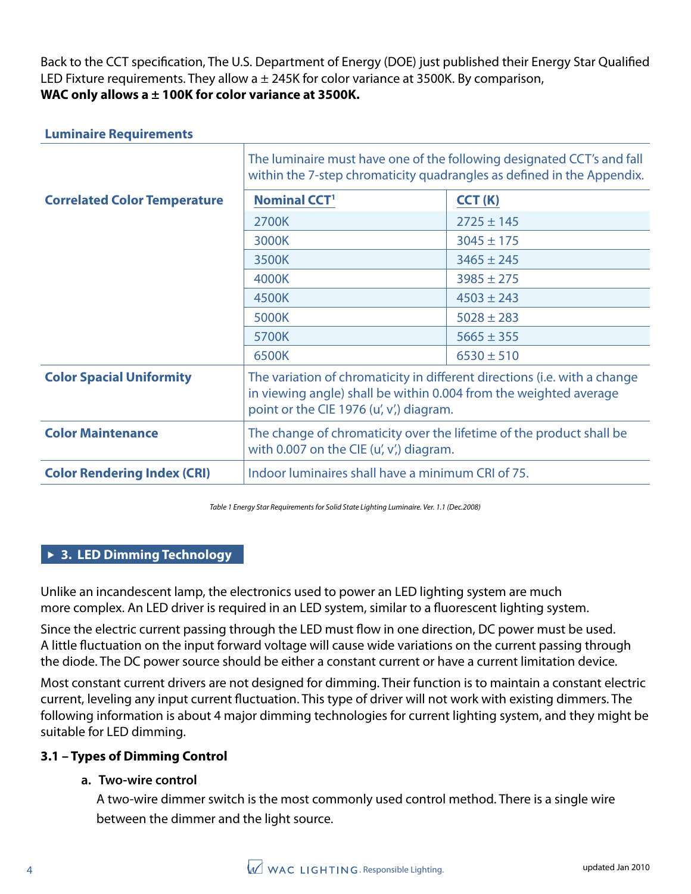Back to the CCT specification, The U.S. Department of Energy (DOE) just published their Energy Star Qualified LED Fixture requirements. They allow a  $\pm$  245K for color variance at 3500K. By comparison, **WAC only allows a ± 100K for color variance at 3500K.**

#### **Luminaire Requirements**

|                                     | The luminaire must have one of the following designated CCT's and fall<br>within the 7-step chromaticity quadrangles as defined in the Appendix.                                           |                |  |
|-------------------------------------|--------------------------------------------------------------------------------------------------------------------------------------------------------------------------------------------|----------------|--|
| <b>Correlated Color Temperature</b> | <b>Nominal CCT1</b>                                                                                                                                                                        | CCT(K)         |  |
|                                     | 2700K                                                                                                                                                                                      | $2725 \pm 145$ |  |
|                                     | 3000K                                                                                                                                                                                      | $3045 \pm 175$ |  |
|                                     | 3500K                                                                                                                                                                                      | $3465 \pm 245$ |  |
|                                     | 4000K                                                                                                                                                                                      | $3985 \pm 275$ |  |
|                                     | 4500K                                                                                                                                                                                      | $4503 \pm 243$ |  |
|                                     | 5000K                                                                                                                                                                                      | $5028 \pm 283$ |  |
|                                     | 5700K                                                                                                                                                                                      | $5665 \pm 355$ |  |
|                                     | 6500K                                                                                                                                                                                      | $6530 \pm 510$ |  |
| <b>Color Spacial Uniformity</b>     | The variation of chromaticity in different directions (i.e. with a change<br>in viewing angle) shall be within 0.004 from the weighted average<br>point or the CIE 1976 (u', v',) diagram. |                |  |
| <b>Color Maintenance</b>            | The change of chromaticity over the lifetime of the product shall be<br>with 0.007 on the CIE (u', v',) diagram.                                                                           |                |  |
| <b>Color Rendering Index (CRI)</b>  | Indoor luminaires shall have a minimum CRI of 75.                                                                                                                                          |                |  |

*Table 1 Energy Star Requirements for Solid State Lighting Luminaire. Ver. 1.1 (Dec.2008)*

#### **▶ 3. LED Dimming Technology**

Unlike an incandescent lamp, the electronics used to power an LED lighting system are much more complex. An LED driver is required in an LED system, similar to a fluorescent lighting system.

Since the electric current passing through the LED must flow in one direction, DC power must be used. A little fluctuation on the input forward voltage will cause wide variations on the current passing through the diode. The DC power source should be either a constant current or have a current limitation device.

Most constant current drivers are not designed for dimming. Their function is to maintain a constant electric current, leveling any input current fluctuation. This type of driver will not work with existing dimmers. The following information is about 4 major dimming technologies for current lighting system, and they might be suitable for LED dimming.

#### **3.1 – Types of Dimming Control**

#### **a. Two-wire control**

A two-wire dimmer switch is the most commonly used control method. There is a single wire between the dimmer and the light source.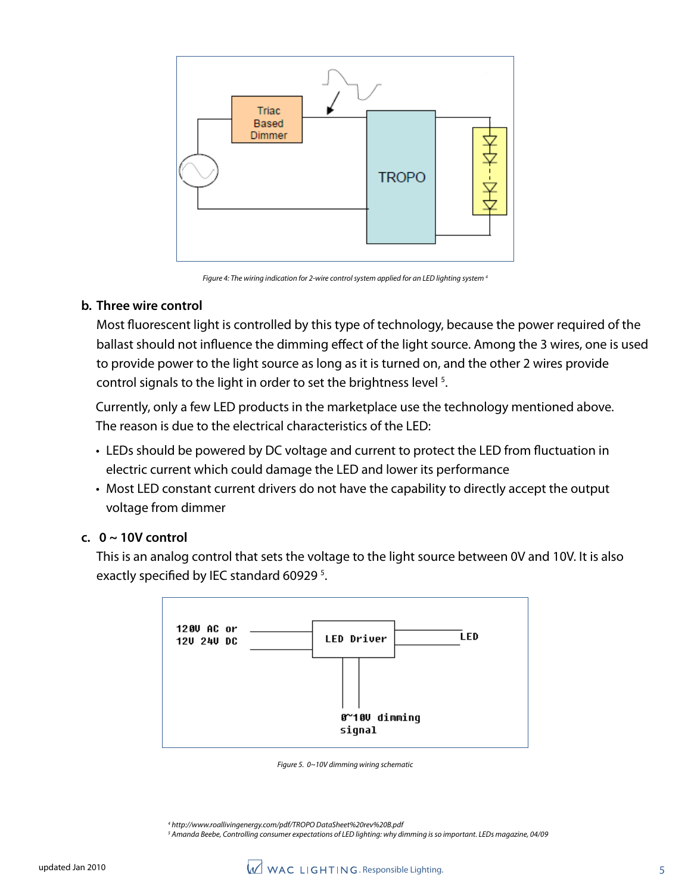

*Figure 4: The wiring indication for 2-wire control system applied for an LED lighting system 4*

#### **b. Three wire control**

Most fluorescent light is controlled by this type of technology, because the power required of the ballast should not influence the dimming effect of the light source. Among the 3 wires, one is used to provide power to the light source as long as it is turned on, and the other 2 wires provide control signals to the light in order to set the brightness level  $5$ .

Currently, only a few LED products in the marketplace use the technology mentioned above. The reason is due to the electrical characteristics of the LED:

- LEDs should be powered by DC voltage and current to protect the LED from fluctuation in electric current which could damage the LED and lower its performance
- Most LED constant current drivers do not have the capability to directly accept the output voltage from dimmer

#### **c. 0 ~ 10V control**

This is an analog control that sets the voltage to the light source between 0V and 10V. It is also exactly specified by IEC standard 60929<sup>5</sup>.



*Figure 5. 0~10V dimming wiring schematic*

*<sup>4</sup> http://www.roallivingenergy.com/pdf/TROPO DataSheet%20rev%20B.pdf*

*<sup>5</sup> Amanda Beebe, Controlling consumer expectations of LED lighting: why dimming is so important. LEDs magazine, 04/09*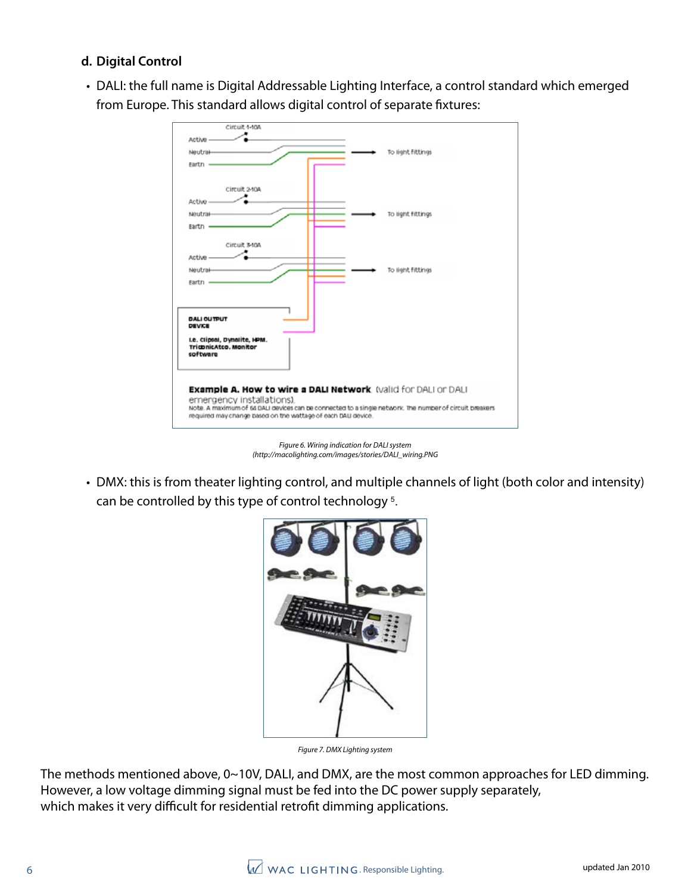### **d. Digital Control**

• DALI: the full name is Digital Addressable Lighting Interface, a control standard which emerged from Europe. This standard allows digital control of separate fixtures:



*Figure 6. Wiring indication for DALI system (http://macolighting.com/images/stories/DALI\_wiring.PNG*

• DMX: this is from theater lighting control, and multiple channels of light (both color and intensity) can be controlled by this type of control technology <sup>5</sup> .



*Figure 7. DMX Lighting system*

The methods mentioned above, 0~10V, DALI, and DMX, are the most common approaches for LED dimming. However, a low voltage dimming signal must be fed into the DC power supply separately, which makes it very difficult for residential retrofit dimming applications.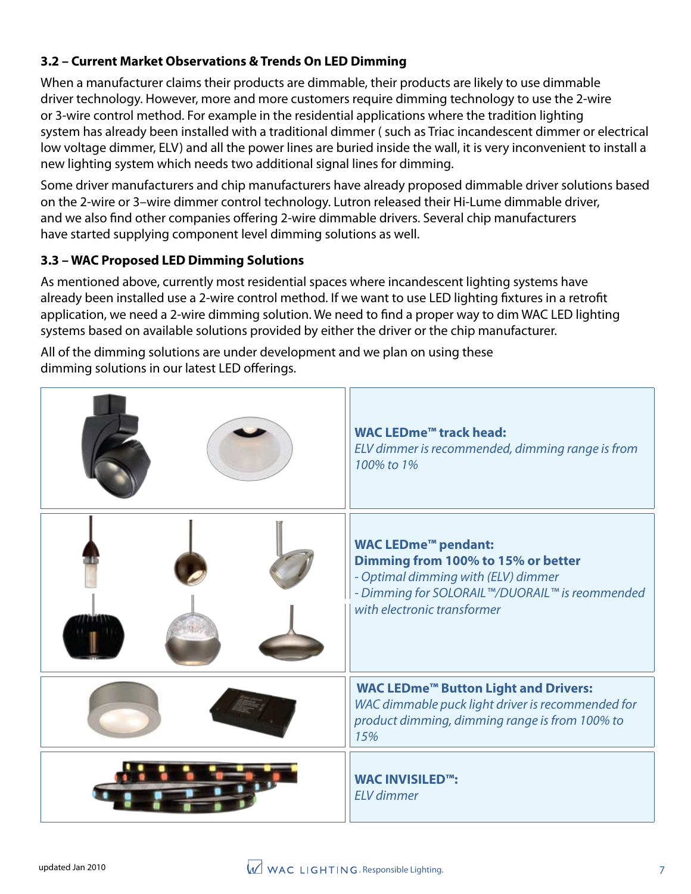## **3.2 – Current Market Observations & Trends On LED Dimming**

When a manufacturer claims their products are dimmable, their products are likely to use dimmable driver technology. However, more and more customers require dimming technology to use the 2-wire or 3-wire control method. For example in the residential applications where the tradition lighting system has already been installed with a traditional dimmer ( such as Triac incandescent dimmer or electrical low voltage dimmer, ELV) and all the power lines are buried inside the wall, it is very inconvenient to install a new lighting system which needs two additional signal lines for dimming.

Some driver manufacturers and chip manufacturers have already proposed dimmable driver solutions based on the 2-wire or 3–wire dimmer control technology. Lutron released their Hi-Lume dimmable driver, and we also find other companies offering 2-wire dimmable drivers. Several chip manufacturers have started supplying component level dimming solutions as well.

# **3.3 – WAC Proposed LED Dimming Solutions**

As mentioned above, currently most residential spaces where incandescent lighting systems have already been installed use a 2-wire control method. If we want to use LED lighting fixtures in a retrofit application, we need a 2-wire dimming solution. We need to find a proper way to dim WAC LED lighting systems based on available solutions provided by either the driver or the chip manufacturer.

All of the dimming solutions are under development and we plan on using these dimming solutions in our latest LED offerings.